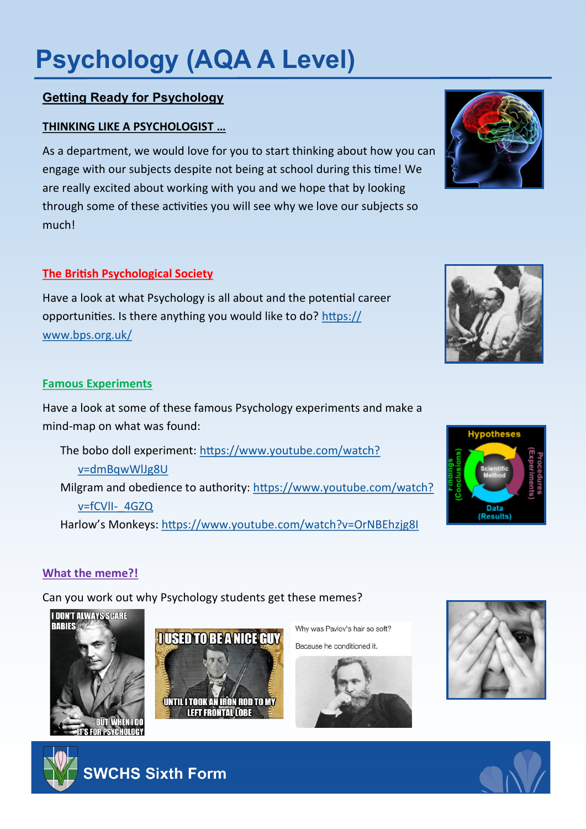# **Psychology (AQA A Level)**

## **Getting Ready for Psychology**

## **THINKING LIKE A PSYCHOLOGIST …**

As a department, we would love for you to start thinking about how you can engage with our subjects despite not being at school during this time! We are really excited about working with you and we hope that by looking through some of these activities you will see why we love our subjects so much!

### **The British Psychological Society**

Have a look at what Psychology is all about and the potential career opportunities. Is there anything you would like to do? [https://](https://www.bps.org.uk/) [www.bps.org.uk/](https://www.bps.org.uk/)

#### **Famous Experiments**

Have a look at some of these famous Psychology experiments and make a mind-map on what was found:

The bobo doll experiment: [https://www.youtube.com/watch?](https://www.youtube.com/watch?v=dmBqwWlJg8U) [v=dmBqwWlJg8U](https://www.youtube.com/watch?v=dmBqwWlJg8U) Milgram and obedience to authority: [https://www.youtube.com/watch?](https://www.youtube.com/watch?v=fCVlI-_4GZQ) [v=fCVlI](https://www.youtube.com/watch?v=fCVlI-_4GZQ)-\_4GZQ Harlow's Monkeys:<https://www.youtube.com/watch?v=OrNBEhzjg8I>

### **What the meme?!**

Can you work out why Psychology students get these memes?



**SWCHS Sixth Form** 



Why was Pavlov's hair so soft? Because he conditioned it